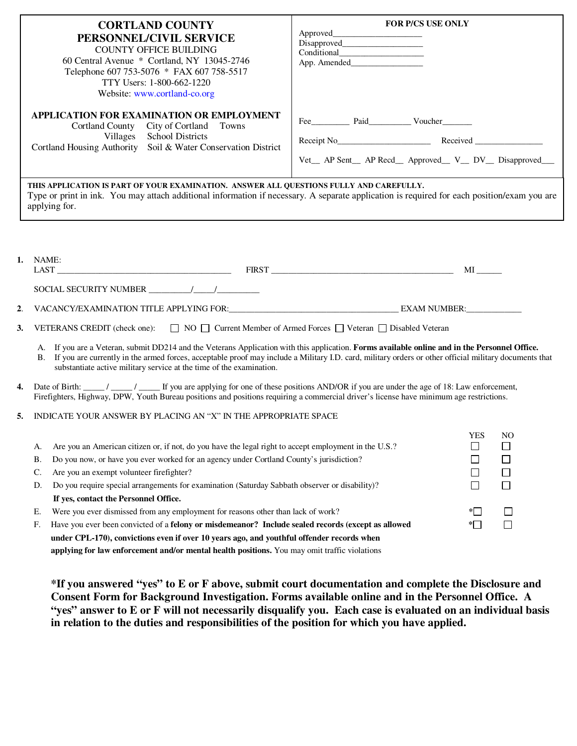|    | <b>CORTLAND COUNTY</b><br>PERSONNEL/CIVIL SERVICE<br><b>COUNTY OFFICE BUILDING</b><br>60 Central Avenue * Cortland, NY 13045-2746<br>Telephone 607 753-5076 * FAX 607 758-5517<br>TTY Users: 1-800-662-1220<br>Website: www.cortland-co.org                                                                                                                                                                     | <b>FOR P/CS USE ONLY</b>                                                                                                                                  |
|----|-----------------------------------------------------------------------------------------------------------------------------------------------------------------------------------------------------------------------------------------------------------------------------------------------------------------------------------------------------------------------------------------------------------------|-----------------------------------------------------------------------------------------------------------------------------------------------------------|
|    | APPLICATION FOR EXAMINATION OR EMPLOYMENT<br>City of Cortland<br>Cortland County<br>Towns<br><b>School Districts</b><br>Villages<br>Soil & Water Conservation District<br>Cortland Housing Authority                                                                                                                                                                                                            | Receipt No Received Received<br>Vet_ AP Sent_ AP Recd_ Approved_ V_ DV_ Disapproved_                                                                      |
|    | THIS APPLICATION IS PART OF YOUR EXAMINATION. ANSWER ALL QUESTIONS FULLY AND CAREFULLY.<br>applying for.                                                                                                                                                                                                                                                                                                        | Type or print in ink. You may attach additional information if necessary. A separate application is required for each position/exam you are               |
| 1. | NAME:                                                                                                                                                                                                                                                                                                                                                                                                           | $MI$ <sub>_______</sub>                                                                                                                                   |
|    |                                                                                                                                                                                                                                                                                                                                                                                                                 |                                                                                                                                                           |
| 2. |                                                                                                                                                                                                                                                                                                                                                                                                                 |                                                                                                                                                           |
| 3. | VETERANS CREDIT (check one): $\Box$ NO $\Box$ Current Member of Armed Forces $\Box$ Veteran $\Box$ Disabled Veteran                                                                                                                                                                                                                                                                                             |                                                                                                                                                           |
|    | A. If you are a Veteran, submit DD214 and the Veterans Application with this application. Forms available online and in the Personnel Office.<br>substantiate active military service at the time of the examination.                                                                                                                                                                                           | B. If you are currently in the armed forces, acceptable proof may include a Military I.D. card, military orders or other official military documents that |
| 4. | Date of Birth: $\frac{1}{\sqrt{1-\frac{1}{n}}}$ / $\frac{1}{\sqrt{1-\frac{1}{n}}}$ If you are applying for one of these positions AND/OR if you are under the age of 18: Law enforcement,<br>Firefighters, Highway, DPW, Youth Bureau positions and positions requiring a commercial driver's license have minimum age restrictions.                                                                            |                                                                                                                                                           |
| 5. | INDICATE YOUR ANSWER BY PLACING AN "X" IN THE APPROPRIATE SPACE                                                                                                                                                                                                                                                                                                                                                 |                                                                                                                                                           |
|    | Are you an American citizen or, if not, do you have the legal right to accept employment in the U.S.?<br>A.<br>Do you now, or have you ever worked for an agency under Cortland County's jurisdiction?<br>В.<br>Are you an exempt volunteer firefighter?<br>C.<br>Do you require special arrangements for examination (Saturday Sabbath observer or disability)?<br>D.<br>If yes, contact the Personnel Office. | <b>YES</b><br>N <sub>O</sub><br>$\overline{\phantom{a}}$<br>$\mathcal{L}$<br>$\Box$<br>⊔<br>$\Box$<br>$\Box$                                              |
|    | Were you ever dismissed from any employment for reasons other than lack of work?<br>Ε.<br>Have you ever been convicted of a felony or misdemeanor? Include sealed records (except as allowed<br>F.<br>under CPL-170), convictions even if over 10 years ago, and youthful offender records when<br>applying for law enforcement and/or mental health positions. You may omit traffic violations                 | $*$<br>$\Box$<br>$\Box$<br>$\ast$ $\Box$                                                                                                                  |

**\*If you answered "yes" to E or F above, submit court documentation and complete the Disclosure and Consent Form for Background Investigation. Forms available online and in the Personnel Office. A "yes" answer to E or F will not necessarily disqualify you. Each case is evaluated on an individual basis in relation to the duties and responsibilities of the position for which you have applied.**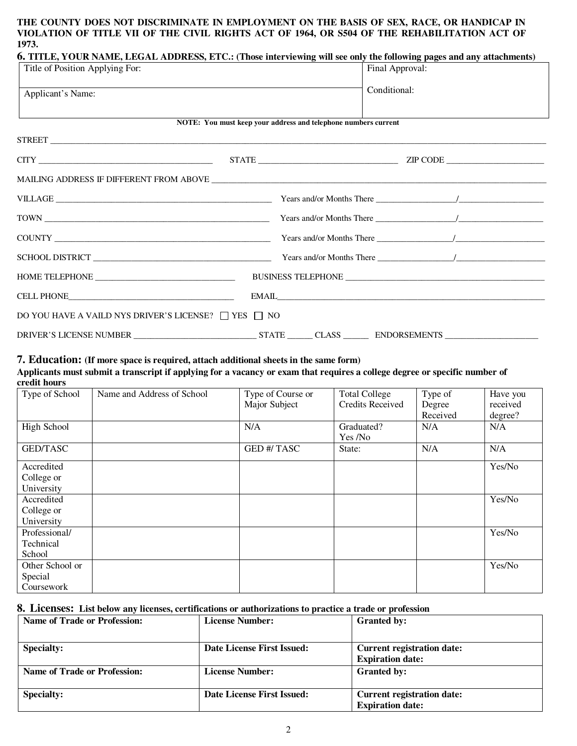#### **THE COUNTY DOES NOT DISCRIMINATE IN EMPLOYMENT ON THE BASIS OF SEX, RACE, OR HANDICAP IN VIOLATION OF TITLE VII OF THE CIVIL RIGHTS ACT OF 1964, OR S504 OF THE REHABILITATION ACT OF 1973.**

| 6. TITLE, YOUR NAME, LEGAL ADDRESS, ETC.: (Those interviewing will see only the following pages and any attachments)                                                                                                                                                                                                                                                                        |                                                                |                 |  |  |  |
|---------------------------------------------------------------------------------------------------------------------------------------------------------------------------------------------------------------------------------------------------------------------------------------------------------------------------------------------------------------------------------------------|----------------------------------------------------------------|-----------------|--|--|--|
| Title of Position Applying For:                                                                                                                                                                                                                                                                                                                                                             |                                                                | Final Approval: |  |  |  |
| Applicant's Name:                                                                                                                                                                                                                                                                                                                                                                           |                                                                |                 |  |  |  |
|                                                                                                                                                                                                                                                                                                                                                                                             | NOTE: You must keep your address and telephone numbers current |                 |  |  |  |
|                                                                                                                                                                                                                                                                                                                                                                                             |                                                                |                 |  |  |  |
|                                                                                                                                                                                                                                                                                                                                                                                             |                                                                |                 |  |  |  |
|                                                                                                                                                                                                                                                                                                                                                                                             |                                                                |                 |  |  |  |
|                                                                                                                                                                                                                                                                                                                                                                                             |                                                                |                 |  |  |  |
|                                                                                                                                                                                                                                                                                                                                                                                             |                                                                |                 |  |  |  |
| $\begin{tabular}{c} \textbf{COUNTY} \end{tabular} \begin{tabular}{p{0.05\textwidth}p{0.003\textwidth}p{0.003\textwidth}p{0.003\textwidth}p{0.003\textwidth}p{0.003\textwidth}p{0.003\textwidth}p{0.003\textwidth}p{0.003\textwidth}p{0.003\textwidth}p{0.003\textwidth}p{0.003\textwidth}p{0.003\textwidth}p{0.003\textwidth}p{0.003\textwidth}p{0.003\textwidth}p{0.003\textwidth}p{0.003$ |                                                                |                 |  |  |  |
|                                                                                                                                                                                                                                                                                                                                                                                             |                                                                |                 |  |  |  |
|                                                                                                                                                                                                                                                                                                                                                                                             |                                                                |                 |  |  |  |
| CELL PHONE PRODUCTION CONTINUES.                                                                                                                                                                                                                                                                                                                                                            |                                                                |                 |  |  |  |
| DO YOU HAVE A VAILD NYS DRIVER'S LICENSE? $\Box$ YES $\Box$ NO                                                                                                                                                                                                                                                                                                                              |                                                                |                 |  |  |  |
| DRIVER'S LICENSE NUMBER STATE CLASS CLASS ENDORSEMENTS                                                                                                                                                                                                                                                                                                                                      |                                                                |                 |  |  |  |

# **7. Education: (If more space is required, attach additional sheets in the same form)**

**Applicants must submit a transcript if applying for a vacancy or exam that requires a college degree or specific number of credit hours** 

| Type of School  | Name and Address of School | Type of Course or  | <b>Total College</b>    | Type of  | Have you |
|-----------------|----------------------------|--------------------|-------------------------|----------|----------|
|                 |                            | Major Subject      | <b>Credits Received</b> | Degree   | received |
|                 |                            |                    |                         | Received | degree?  |
| High School     |                            | N/A                | Graduated?              | N/A      | N/A      |
|                 |                            |                    | Yes /No                 |          |          |
| <b>GED/TASC</b> |                            | <b>GED #/ TASC</b> | State:                  | N/A      | N/A      |
| Accredited      |                            |                    |                         |          | Yes/No   |
| College or      |                            |                    |                         |          |          |
| University      |                            |                    |                         |          |          |
| Accredited      |                            |                    |                         |          | Yes/No   |
| College or      |                            |                    |                         |          |          |
| University      |                            |                    |                         |          |          |
| Professional/   |                            |                    |                         |          | Yes/No   |
| Technical       |                            |                    |                         |          |          |
| School          |                            |                    |                         |          |          |
| Other School or |                            |                    |                         |          | Yes/No   |
| Special         |                            |                    |                         |          |          |
| Coursework      |                            |                    |                         |          |          |

#### **8. Licenses: List below any licenses, certifications or authorizations to practice a trade or profession**

| <b>Name of Trade or Profession:</b> | <b>License Number:</b>     | <b>Granted by:</b>                |
|-------------------------------------|----------------------------|-----------------------------------|
| <b>Specialty:</b>                   | Date License First Issued: | Current registration date:        |
|                                     |                            | <b>Expiration date:</b>           |
| <b>Name of Trade or Profession:</b> | <b>License Number:</b>     | <b>Granted by:</b>                |
| <b>Specialty:</b>                   | Date License First Issued: | <b>Current registration date:</b> |
|                                     |                            | <b>Expiration date:</b>           |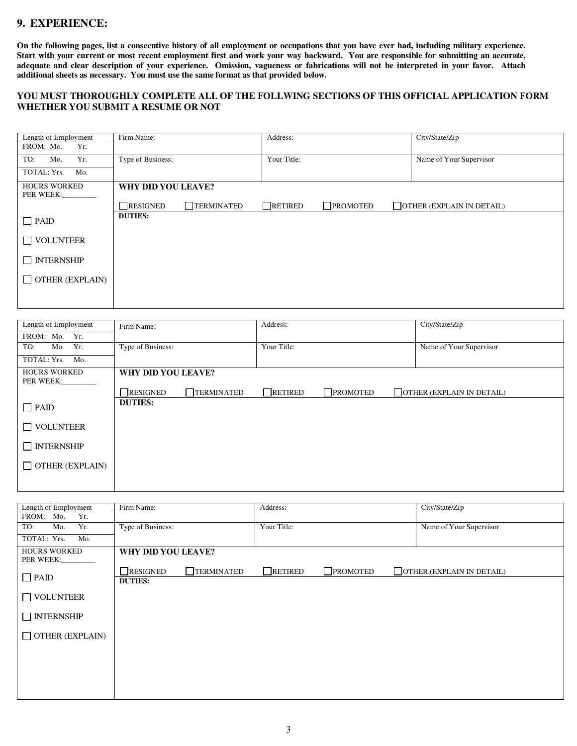# **9. EXPERIENCE:**

**On the following pages, list a consecutive history of all employment or occupations that you have ever had, including military experience. Start with your current or most recent employment first and work your way backward. You are responsible for submitting an accurate, adequate and clear description of your experience. Omission, vagueness or fabrications will not be interpreted in your favor. Attach additional sheets as necessary. You must use the same format as that provided below.** 

#### **YOU MUST THOROUGHLY COMPLETE ALL OF THE FOLLWING SECTIONS OF THIS OFFICIAL APPLICATION FORM WHETHER YOU SUBMIT A RESUME OR NOT**

| Length of Employment<br>FROM: Mo.<br>Yr. | Firm Name:                    | Address:                          | City/State/Zip                   |
|------------------------------------------|-------------------------------|-----------------------------------|----------------------------------|
| Yr.<br>TO:<br>Mo.                        | Type of Business:             | Your Title:                       | Name of Your Supervisor          |
| TOTAL: Yrs.<br>Mo.                       |                               |                                   |                                  |
| <b>HOURS WORKED</b><br>PER WEEK:         | WHY DID YOU LEAVE?            |                                   |                                  |
|                                          | $\Box$ TERMINATED<br>RESIGNED | $\Box$ PROMOTED<br>$\Box$ RETIRED | $\Box$ OTHER (EXPLAIN IN DETAIL) |
| $\Box$ PAID                              | <b>DUTIES:</b>                |                                   |                                  |
| $\Box$ VOLUNTEER                         |                               |                                   |                                  |
| $\Box$ INTERNSHIP                        |                               |                                   |                                  |
| $\Box$ OTHER (EXPLAIN)                   |                               |                                   |                                  |
|                                          |                               |                                   |                                  |

| Length of Employment   | Firm Name:         |                   | Address:       |                  | City/State/Zip                   |
|------------------------|--------------------|-------------------|----------------|------------------|----------------------------------|
| FROM: Mo.<br>Yr.       |                    |                   |                |                  |                                  |
| Mo. Yr.<br>TO:         | Type of Business:  |                   | Your Title:    |                  | Name of Your Supervisor          |
| TOTAL: Yrs.<br>Mo.     |                    |                   |                |                  |                                  |
| <b>HOURS WORKED</b>    | WHY DID YOU LEAVE? |                   |                |                  |                                  |
| PER WEEK:              |                    |                   |                |                  |                                  |
|                        | RESIGNED           | $\Box$ TERMINATED | $\Box$ RETIRED | $\n  PROMOTED\n$ | $\Box$ OTHER (EXPLAIN IN DETAIL) |
| $\Box$ PAID            | <b>DUTIES:</b>     |                   |                |                  |                                  |
| $\Box$ VOLUNTEER       |                    |                   |                |                  |                                  |
| $\Box$ INTERNSHIP      |                    |                   |                |                  |                                  |
| $\Box$ OTHER (EXPLAIN) |                    |                   |                |                  |                                  |
|                        |                    |                   |                |                  |                                  |

| Length of Employment<br>FROM:<br>Mo.<br>Yr. | Firm Name:         |                   | Address:       |                 | City/State/Zip                   |
|---------------------------------------------|--------------------|-------------------|----------------|-----------------|----------------------------------|
| Yr.<br>TO:<br>Mo.                           | Type of Business:  |                   | Your Title:    |                 | Name of Your Supervisor          |
| TOTAL: Yrs.<br>Mo.                          |                    |                   |                |                 |                                  |
| <b>HOURS WORKED</b><br>PER WEEK:            | WHY DID YOU LEAVE? |                   |                |                 |                                  |
| $\Box$ PAID                                 | RESIGNED           | $\Box$ TERMINATED | $\Box$ RETIRED | $\Box$ PROMOTED | $\Box$ OTHER (EXPLAIN IN DETAIL) |
|                                             | <b>DUTIES:</b>     |                   |                |                 |                                  |
| $\Box$ VOLUNTEER                            |                    |                   |                |                 |                                  |
| $\Box$ INTERNSHIP                           |                    |                   |                |                 |                                  |
| $\Box$ OTHER (EXPLAIN)                      |                    |                   |                |                 |                                  |
|                                             |                    |                   |                |                 |                                  |
|                                             |                    |                   |                |                 |                                  |
|                                             |                    |                   |                |                 |                                  |
|                                             |                    |                   |                |                 |                                  |